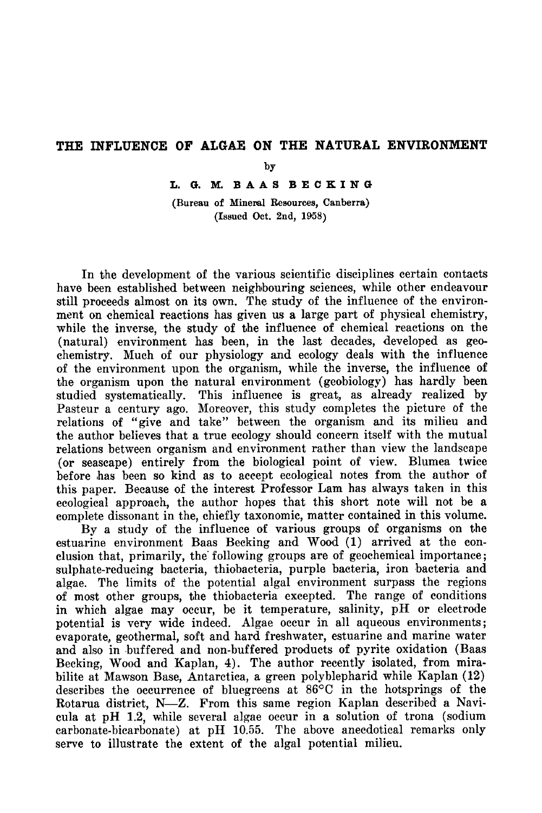## The influence of Algae on the natural environment

by

L. G. M. BAAS BECKING

(Bureau of Mineral Resources, Canberra) (Issued Oct. 2nd, 1958)

In the development of the various scientific disciplines certain contacts have been established between neighbouring sciences, while other endeavour still proceeds almost on its own. The study of the influence of the environment on chemical reactions has given us a large part of physical chemistry, while the inverse, the study of the influence of chemical reactions on the (natural) environment has been, in the last decades, developed as geochemistry. Much of our physiology and ecology deals with the influence of the environment upon the organism, while the inverse, the influence of the organism upon the natural environment (geobiology) has hardly been studied systematically. This influence is great, as already realized by Pasteur a century ago. Moreover, this study completes the picture of the relations of "give and take" between the organism and its milieu and the author believes that <sup>a</sup> true ecology should concern itself with the mutual relations between organism and environment rather than view the landscape (or seascape) entirely from the biological point of view. Blumea twice before has been so kind as to accept ecological notes from the author of this paper. Because of the interest Professor Lam has always taken in this ecological approach, the author hopes that this short note will not be <sup>a</sup> complete dissonant in the, chiefly taxonomic, matter contained in this volume.

By <sup>a</sup> study of the influence of various groups of organisms on the estuarine environment Baas Becking and Wood (1) arrived at the conclusion that, primarily, the following groups are of geochemical importance; sulphate-reducing bacteria, thiobacteria, purple bacteria, iron bacteria and algae. The limits of the potential algal environment surpass the regions of most other groups, the thiobacteria excepted. The range of conditions in which algae may occur, be it temperature, salinity, pH or electrode potential is very wide indeed. Algae occur in all aqueous environments; evaporate, geothermal, soft and hard freshwater, estuarine and marine water and also in buffered and non-buffered products of pyrite oxidation (Baas Becking, Wood and Kaplan, 4). The author recently isolated, from mirabilite at Mawson Base, Antarctica, a green polyblepharid while Kaplan (12) describes the occurrence of bluegreens at 86°C in the hotsprings of the Rotarua district, N—Z. From this same region Kaplan described <sup>a</sup> Navicula at pH 1.2, while several algae occur in <sup>a</sup> solution of trona (sodium carbonate-bicarbonate) at pH 10.55. The above anecdotical remarks only serve to illustrate the extent of the algal potential milieu.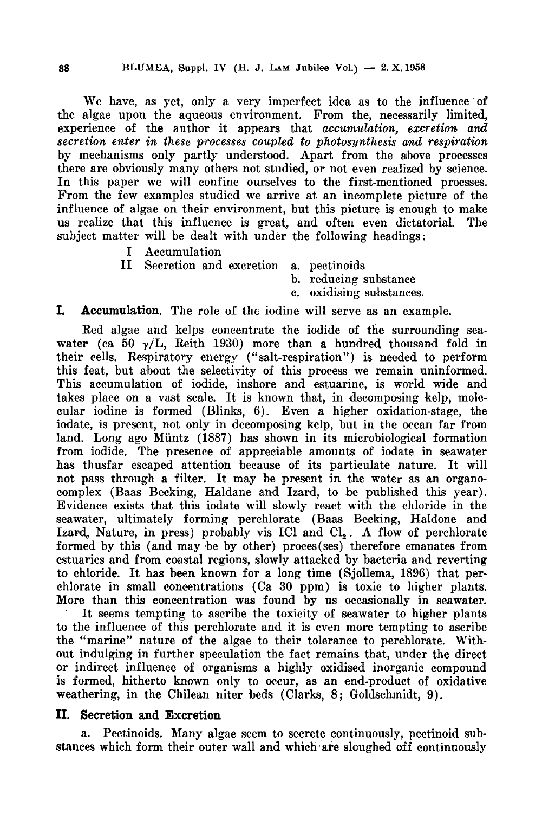We have, as yet, only <sup>a</sup> very imperfect idea as to the influence of the algae upon the aqueous environment. From the, necessarily limited, experience of the author it appears that accumulation, excretion and secretion enter in these processes coupled to photosynthesis and respiration by mechanisms only partly understood. Apart from the above processes there are obviously many others not studied, or not even realized by science. In this paper we will confine ourselves to the first-mentioned procsses. From the few examples studied we arrive at an incomplete picture of the influence of algae on their environment, but this picture is enough to make us realize that this influence is great, and often even dictatorial. The subject matter will be dealt with under the following headings :

- I Accumulation
- II Secretion and excretion a. pectinoids
	- h. reducing substance
	- c. oxidising substances.

## I. Accumulation. The role of the iodine will serve as an example.

Red algae and kelps concentrate the iodide of the surrounding seawater (ca 50  $\gamma$ /L, Reith 1930) more than a hundred thousand fold in their cells. Respiratory energy ("salt-respiration") is needed to perform this feat, but about the selectivity of this process we remain uninformed. This accumulation of iodide, inshore and estuarine, is world wide and takes place on <sup>a</sup> vast scale. It is known that, in decomposing kelp, molecular iodine is formed (Blinks, 6). Even a higher oxidation-stage, the iodate, is present, not only in decomposing kelp, but in the ocean far from land. Long ago Miintz (1887) has shown in its microbiological formation from iodide. The presence of appreciable amounts of iodate in seawater has thusfar escaped attention because of its particulate nature. It will not pass through <sup>a</sup> filter. It may be present in the water as an organocomplex (Baas Becking, Haldane and Izard, to be published this year). Evidence exists that this iodate will slowly react with the chloride in the seawater, ultimately forming perchlorate (Baas Becking, Haldone and Izard, Nature, in press) probably vis ICl and Cl<sub>2</sub>. A flow of perchlorate formed by this (and may be by other) proces(ses) therefore emanates from estuaries and from coastal regions, slowly attacked by bacteria and reverting to chloride. It has been known for <sup>a</sup> long time (Sjollema, 1896) that perchlorate in small concentrations (Ca 30 ppm) is toxic to higher plants. More than this concentration was found by us occasionally in seawater.

It seems tempting to ascribe the toxicity of seawater to higher plants to the influence of this perchlorate and it is even more tempting to ascribe the ''marine" nature of the algae to their tolerance to perchlorate. Without indulging in further speculation the fact remains that, under the direct or indirect influence of organisms <sup>a</sup> highly oxidised inorganic compound is formed, hitherto known only to occur, as an end-product of oxidative weathering, in the Chilean niter beds (Clarks, 8; Goldschmidt, 9).

## II. Secretion and Excretion

a. Pectinoids. Many algae seem to secrete continuously, pectinoid substances which form their outer wall and which are sloughed off continuously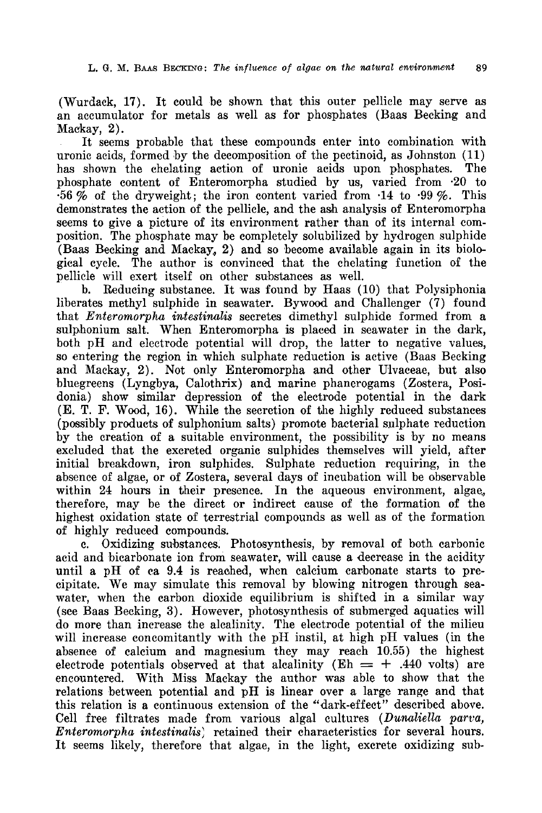(Wurdack, 17). It could be shown that this outer pellicle may serve as an accumulator for metals as well as for phosphates (Baas Becking and Mackay, 2).

It seems probable that these compounds enter into combination with uronic acids, formed by the decomposition of the pectinoid, as Johnston (11) has shown the chelating action of uronic acids upon phosphates. The phosphate content of Bnteromorpha studied by us, varied from -20 to  $\cdot 56\%$  of the dryweight; the iron content varied from  $\cdot 14$  to  $\cdot 99\%$ . This demonstrates the action of the pellicle, and the ash analysis of Enteromorpha seems to give a picture of its environment rather than of its internal composition. The phosphate may be completely solubilized by hydrogen sulphide (Baas Becking and Mackay, 2) and so become available again in its biological cycle. The author is convinced that the chelating function of the pellicle will exert itself on other substances as well.

b. Reducing substance. It was found by Haas (10) that Polysiphonia liberates methyl sulphide in seawater. Bywood and Challenger (7) found that Enteromorpha intestinalis secretes dimethyl sulphide formed from a sulphonium salt. When Enteromorpha is placed in seawater in the dark, both pH and electrode potential will drop, the latter to negative values, so entering the region in which sulphate reduction is active (Baas Becking and Mackay, 2). Not only Enteromorpha and other Ulvaceae, but also bluegreens (Lyngbya, Calothrix) and marine phanerogams (Zostera, Posidonia) show similar depression of the electrode potential in the dark (E. T. F. Wood, 16). While the secretion of the highly reduced substances (possibly products of sulphonium salts) promote bacterial sulphate reduction by the creation of <sup>a</sup> suitable environment, the possibility is by no means excluded that the excreted organic sulphides themselves will yield, after initial breakdown, iron sulphides. Sulphate reduction requiring, in the absence of algae, or of Zostera, several days of incubation will be observable within 24 hours in their presence. In the aqueous environment, algae, therefore, may be the direct or indirect cause of the formation of the highest oxidation state of terrestrial compounds as well as of the formation of highly reduced compounds.

c. Oxidizing substances. Photosynthesis, by removal of both carbonic acid and bicarbonate ion from seawater, will cause <sup>a</sup> decrease in the acidity until a pH of ca 9.4 is reached, when calcium carbonate starts to precipitate. We may simulate this removal by blowing nitrogen through seawater, when the carbon dioxide equilibrium is shifted in <sup>a</sup> similar way (see Baas Becking, 3). However, photosynthesis of submerged aquatics will do more than increase the alcalinity. The electrode potential of the milieu will increase concomitantly with the pH instil, at high pH values (in the absence of calcium and magnesium they may reach 10.55) the highest electrode potentials observed at that alcalinity ( $\text{Eh} = +.440$  volts) are encountered. With Miss Mackay the author was able to show that the relations between potential and pH is linear over <sup>a</sup> large range and that this relation is a continuous extension of the "dark-effect" described above. Cell free filtrates made from various algal cultures (Dunaliella parva, Enteromorpha intestinalis) retained their characteristics for several hours. It seems likely, therefore that algae, in the light, excrete oxidizing sub-